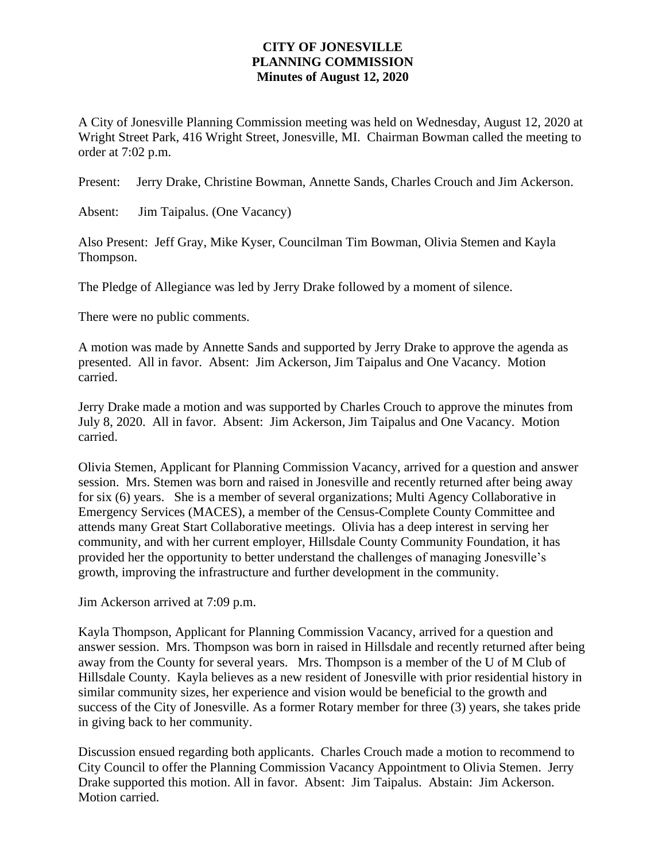## **CITY OF JONESVILLE PLANNING COMMISSION Minutes of August 12, 2020**

A City of Jonesville Planning Commission meeting was held on Wednesday, August 12, 2020 at Wright Street Park, 416 Wright Street, Jonesville, MI. Chairman Bowman called the meeting to order at 7:02 p.m.

Present: Jerry Drake, Christine Bowman, Annette Sands, Charles Crouch and Jim Ackerson.

Absent: Jim Taipalus. (One Vacancy)

Also Present: Jeff Gray, Mike Kyser, Councilman Tim Bowman, Olivia Stemen and Kayla Thompson.

The Pledge of Allegiance was led by Jerry Drake followed by a moment of silence.

There were no public comments.

A motion was made by Annette Sands and supported by Jerry Drake to approve the agenda as presented. All in favor. Absent: Jim Ackerson, Jim Taipalus and One Vacancy. Motion carried.

Jerry Drake made a motion and was supported by Charles Crouch to approve the minutes from July 8, 2020. All in favor. Absent: Jim Ackerson, Jim Taipalus and One Vacancy. Motion carried.

Olivia Stemen, Applicant for Planning Commission Vacancy, arrived for a question and answer session. Mrs. Stemen was born and raised in Jonesville and recently returned after being away for six (6) years. She is a member of several organizations; Multi Agency Collaborative in Emergency Services (MACES), a member of the Census-Complete County Committee and attends many Great Start Collaborative meetings. Olivia has a deep interest in serving her community, and with her current employer, Hillsdale County Community Foundation, it has provided her the opportunity to better understand the challenges of managing Jonesville's growth, improving the infrastructure and further development in the community.

Jim Ackerson arrived at 7:09 p.m.

Kayla Thompson, Applicant for Planning Commission Vacancy, arrived for a question and answer session. Mrs. Thompson was born in raised in Hillsdale and recently returned after being away from the County for several years. Mrs. Thompson is a member of the U of M Club of Hillsdale County. Kayla believes as a new resident of Jonesville with prior residential history in similar community sizes, her experience and vision would be beneficial to the growth and success of the City of Jonesville. As a former Rotary member for three (3) years, she takes pride in giving back to her community.

Discussion ensued regarding both applicants. Charles Crouch made a motion to recommend to City Council to offer the Planning Commission Vacancy Appointment to Olivia Stemen. Jerry Drake supported this motion. All in favor. Absent: Jim Taipalus. Abstain: Jim Ackerson. Motion carried.